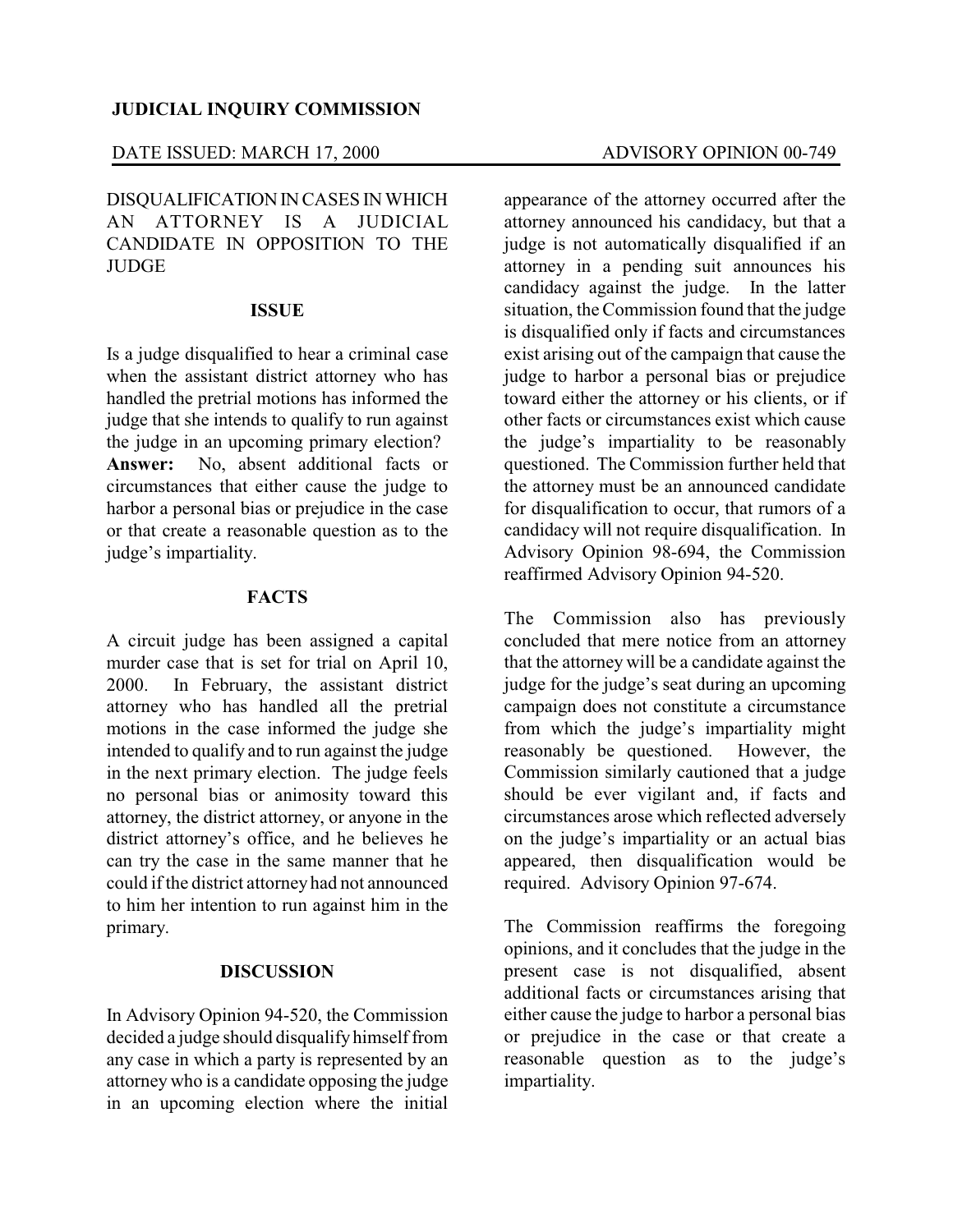# DATE ISSUED: MARCH 17, 2000 ADVISORY OPINION 00-749

DISQUALIFICATIONINCASES IN WHICH AN ATTORNEY IS A JUDICIAL CANDIDATE IN OPPOSITION TO THE **JUDGE** 

#### **ISSUE**

Is a judge disqualified to hear a criminal case when the assistant district attorney who has handled the pretrial motions has informed the judge that she intends to qualify to run against the judge in an upcoming primary election? **Answer:** No, absent additional facts or circumstances that either cause the judge to harbor a personal bias or prejudice in the case or that create a reasonable question as to the judge's impartiality.

### **FACTS**

A circuit judge has been assigned a capital murder case that is set for trial on April 10, 2000. In February, the assistant district attorney who has handled all the pretrial motions in the case informed the judge she intended to qualify and to run against the judge in the next primary election. The judge feels no personal bias or animosity toward this attorney, the district attorney, or anyone in the district attorney's office, and he believes he can try the case in the same manner that he could if the district attorney had not announced to him her intention to run against him in the primary.

# **DISCUSSION**

In Advisory Opinion 94-520, the Commission decided a judge should disqualify himself from any case in which a party is represented by an attorney who is a candidate opposing the judge in an upcoming election where the initial

appearance of the attorney occurred after the attorney announced his candidacy, but that a judge is not automatically disqualified if an attorney in a pending suit announces his candidacy against the judge. In the latter situation, the Commission found that the judge is disqualified only if facts and circumstances exist arising out of the campaign that cause the judge to harbor a personal bias or prejudice toward either the attorney or his clients, or if other facts or circumstances exist which cause the judge's impartiality to be reasonably questioned. The Commission further held that the attorney must be an announced candidate for disqualification to occur, that rumors of a candidacy will not require disqualification. In Advisory Opinion 98-694, the Commission reaffirmed Advisory Opinion 94-520.

The Commission also has previously concluded that mere notice from an attorney that the attorney will be a candidate against the judge for the judge's seat during an upcoming campaign does not constitute a circumstance from which the judge's impartiality might reasonably be questioned. However, the Commission similarly cautioned that a judge should be ever vigilant and, if facts and circumstances arose which reflected adversely on the judge's impartiality or an actual bias appeared, then disqualification would be required. Advisory Opinion 97-674.

The Commission reaffirms the foregoing opinions, and it concludes that the judge in the present case is not disqualified, absent additional facts or circumstances arising that either cause the judge to harbor a personal bias or prejudice in the case or that create a reasonable question as to the judge's impartiality.